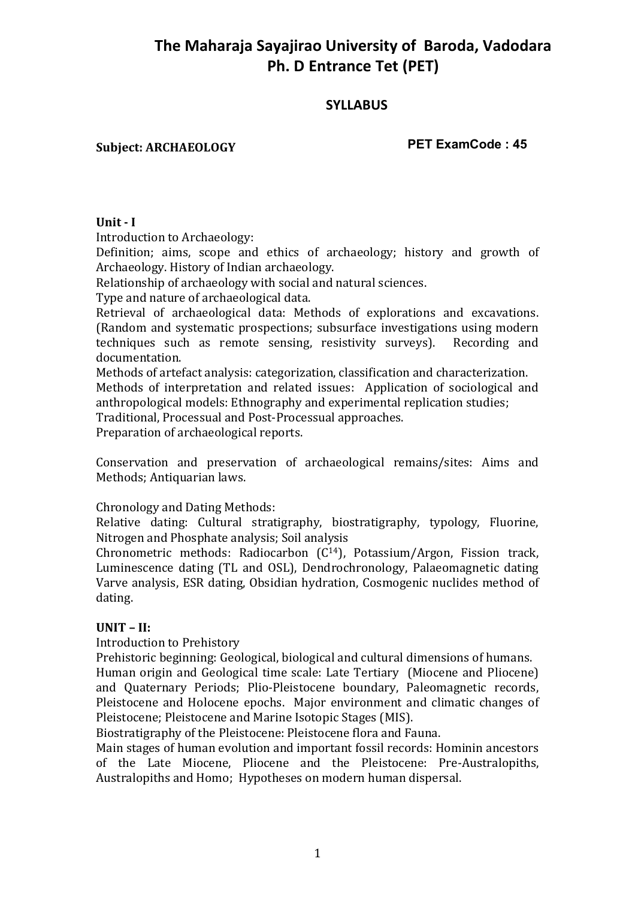# **The Maharaja Sayajirao University of Baroda, Vadodara Ph. D Entrance Tet (PET)**

## **SYLLABUS**

## **Subject: ARCHAEOLOGY**

**PET ExamCode : 45**

## **Unit - I**

Introduction to Archaeology:

Definition; aims, scope and ethics of archaeology; history and growth of Archaeology. History of Indian archaeology.

Relationship of archaeology with social and natural sciences.

Type and nature of archaeological data.

Retrieval of archaeological data: Methods of explorations and excavations. (Random and systematic prospections; subsurface investigations using modern techniques such as remote sensing, resistivity surveys). Recording and documentation.

Methods of artefact analysis: categorization, classification and characterization. Methods of interpretation and related issues: Application of sociological and anthropological models: Ethnography and experimental replication studies;

Traditional, Processual and Post-Processual approaches.

Preparation of archaeological reports.

Conservation and preservation of archaeological remains/sites: Aims and Methods; Antiquarian laws.

Chronology and Dating Methods:

Relative dating: Cultural stratigraphy, biostratigraphy, typology, Fluorine, Nitrogen and Phosphate analysis; Soil analysis

Chronometric methods: Radiocarbon (C14), Potassium/Argon, Fission track, Luminescence dating (TL and OSL), Dendrochronology, Palaeomagnetic dating Varve analysis, ESR dating, Obsidian hydration, Cosmogenic nuclides method of dating.

## **UNIT – II:**

Introduction to Prehistory

Prehistoric beginning: Geological, biological and cultural dimensions of humans. Human origin and Geological time scale: Late Tertiary (Miocene and Pliocene) and Quaternary Periods; Plio-Pleistocene boundary, Paleomagnetic records, Pleistocene and Holocene epochs. Major environment and climatic changes of Pleistocene; Pleistocene and Marine Isotopic Stages (MIS).

Biostratigraphy of the Pleistocene: Pleistocene flora and Fauna.

Main stages of human evolution and important fossil records: Hominin ancestors of the Late Miocene, Pliocene and the Pleistocene: Pre-Australopiths, Australopiths and Homo; Hypotheses on modern human dispersal.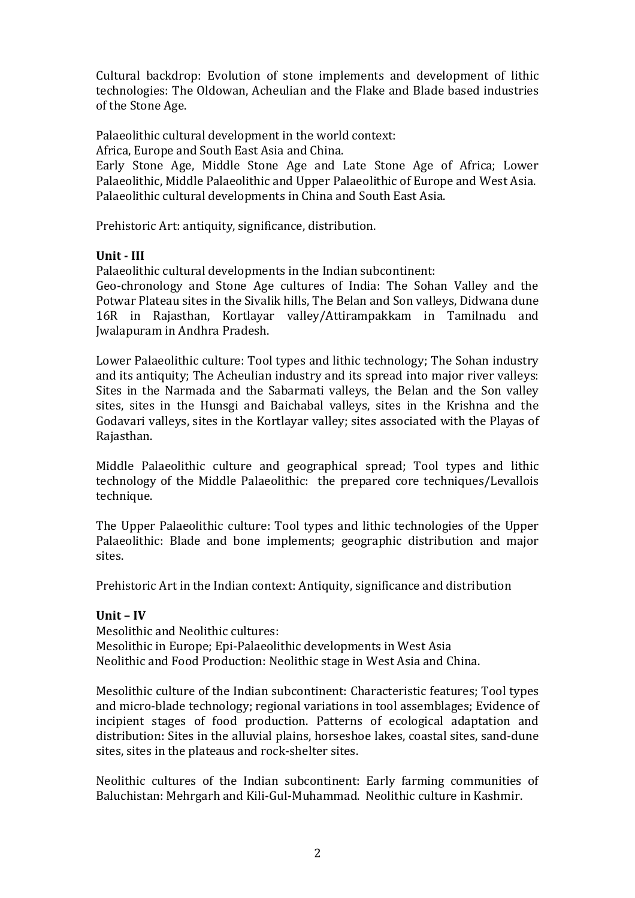Cultural backdrop: Evolution of stone implements and development of lithic technologies: The Oldowan, Acheulian and the Flake and Blade based industries of the Stone Age.

Palaeolithic cultural development in the world context:

Africa, Europe and South East Asia and China.

Early Stone Age, Middle Stone Age and Late Stone Age of Africa; Lower Palaeolithic, Middle Palaeolithic and Upper Palaeolithic of Europe and West Asia. Palaeolithic cultural developments in China and South East Asia.

Prehistoric Art: antiquity, significance, distribution.

## **Unit - III**

Palaeolithic cultural developments in the Indian subcontinent:

Geo-chronology and Stone Age cultures of India: The Sohan Valley and the Potwar Plateau sites in the Sivalik hills, The Belan and Son valleys, Didwana dune 16R in Rajasthan, Kortlayar valley/Attirampakkam in Tamilnadu and Jwalapuram in Andhra Pradesh.

Lower Palaeolithic culture: Tool types and lithic technology; The Sohan industry and its antiquity; The Acheulian industry and its spread into major river valleys: Sites in the Narmada and the Sabarmati valleys, the Belan and the Son valley sites, sites in the Hunsgi and Baichabal valleys, sites in the Krishna and the Godavari valleys, sites in the Kortlayar valley; sites associated with the Playas of Rajasthan.

Middle Palaeolithic culture and geographical spread; Tool types and lithic technology of the Middle Palaeolithic: the prepared core techniques/Levallois technique.

The Upper Palaeolithic culture: Tool types and lithic technologies of the Upper Palaeolithic: Blade and bone implements; geographic distribution and major sites.

Prehistoric Art in the Indian context: Antiquity, significance and distribution

## **Unit – IV**

Mesolithic and Neolithic cultures: Mesolithic in Europe; Epi-Palaeolithic developments in West Asia Neolithic and Food Production: Neolithic stage in West Asia and China.

Mesolithic culture of the Indian subcontinent: Characteristic features; Tool types and micro-blade technology; regional variations in tool assemblages; Evidence of incipient stages of food production. Patterns of ecological adaptation and distribution: Sites in the alluvial plains, horseshoe lakes, coastal sites, sand-dune sites, sites in the plateaus and rock-shelter sites.

Neolithic cultures of the Indian subcontinent: Early farming communities of Baluchistan: Mehrgarh and Kili-Gul-Muhammad. Neolithic culture in Kashmir.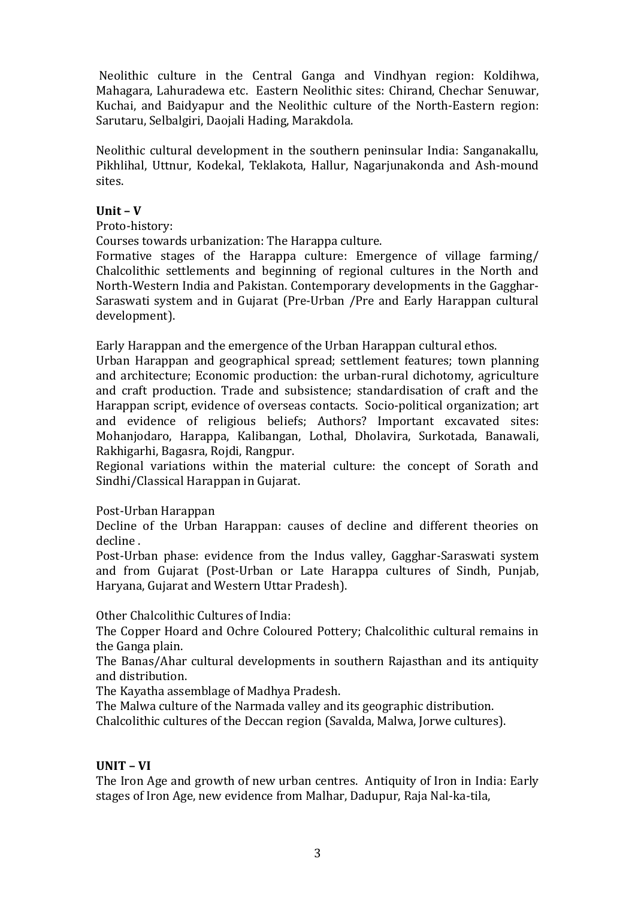Neolithic culture in the Central Ganga and Vindhyan region: Koldihwa, Mahagara, Lahuradewa etc. Eastern Neolithic sites: Chirand, Chechar Senuwar, Kuchai, and Baidyapur and the Neolithic culture of the North-Eastern region: Sarutaru, Selbalgiri, Daojali Hading, Marakdola.

Neolithic cultural development in the southern peninsular India: Sanganakallu, Pikhlihal, Uttnur, Kodekal, Teklakota, Hallur, Nagarjunakonda and Ash-mound sites.

## **Unit – V**

#### Proto-history:

Courses towards urbanization: The Harappa culture.

Formative stages of the Harappa culture: Emergence of village farming/ Chalcolithic settlements and beginning of regional cultures in the North and North-Western India and Pakistan. Contemporary developments in the Gagghar-Saraswati system and in Gujarat (Pre-Urban /Pre and Early Harappan cultural development).

Early Harappan and the emergence of the Urban Harappan cultural ethos.

Urban Harappan and geographical spread; settlement features; town planning and architecture; Economic production: the urban-rural dichotomy, agriculture and craft production. Trade and subsistence; standardisation of craft and the Harappan script, evidence of overseas contacts. Socio-political organization; art and evidence of religious beliefs; Authors? Important excavated sites: Mohanjodaro, Harappa, Kalibangan, Lothal, Dholavira, Surkotada, Banawali, Rakhigarhi, Bagasra, Rojdi, Rangpur.

Regional variations within the material culture: the concept of Sorath and Sindhi/Classical Harappan in Gujarat.

## Post-Urban Harappan

Decline of the Urban Harappan: causes of decline and different theories on decline .

Post-Urban phase: evidence from the Indus valley, Gagghar-Saraswati system and from Gujarat (Post-Urban or Late Harappa cultures of Sindh, Punjab, Haryana, Gujarat and Western Uttar Pradesh).

Other Chalcolithic Cultures of India:

The Copper Hoard and Ochre Coloured Pottery; Chalcolithic cultural remains in the Ganga plain.

The Banas/Ahar cultural developments in southern Rajasthan and its antiquity and distribution.

The Kayatha assemblage of Madhya Pradesh.

The Malwa culture of the Narmada valley and its geographic distribution.

Chalcolithic cultures of the Deccan region (Savalda, Malwa, Jorwe cultures).

## **UNIT – VI**

The Iron Age and growth of new urban centres. Antiquity of Iron in India: Early stages of Iron Age, new evidence from Malhar, Dadupur, Raja Nal-ka-tila,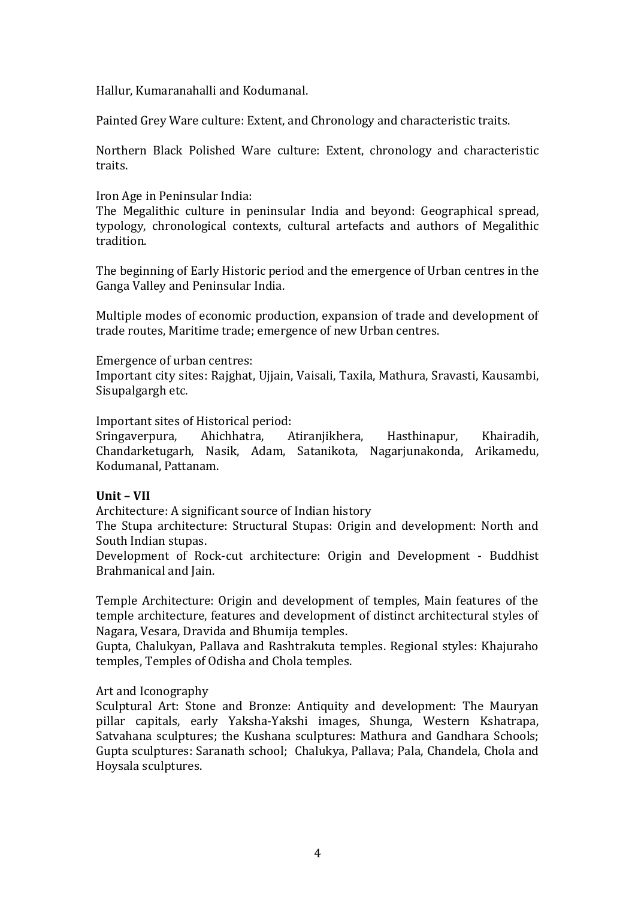Hallur, Kumaranahalli and Kodumanal.

Painted Grey Ware culture: Extent, and Chronology and characteristic traits.

Northern Black Polished Ware culture: Extent, chronology and characteristic traits.

## Iron Age in Peninsular India:

The Megalithic culture in peninsular India and beyond: Geographical spread, typology, chronological contexts, cultural artefacts and authors of Megalithic tradition.

The beginning of Early Historic period and the emergence of Urban centres in the Ganga Valley and Peninsular India.

Multiple modes of economic production, expansion of trade and development of trade routes, Maritime trade; emergence of new Urban centres.

#### Emergence of urban centres:

Important city sites: Rajghat, Ujjain, Vaisali, Taxila, Mathura, Sravasti, Kausambi, Sisupalgargh etc.

Important sites of Historical period:

Sringaverpura, Ahichhatra, Atiranjikhera, Hasthinapur, Khairadih, Chandarketugarh, Nasik, Adam, Satanikota, Nagarjunakonda, Arikamedu, Kodumanal, Pattanam.

#### **Unit – VII**

Architecture: A significant source of Indian history

The Stupa architecture: Structural Stupas: Origin and development: North and South Indian stupas.

Development of Rock-cut architecture: Origin and Development - Buddhist Brahmanical and Jain.

Temple Architecture: Origin and development of temples, Main features of the temple architecture, features and development of distinct architectural styles of Nagara, Vesara, Dravida and Bhumija temples.

Gupta, Chalukyan, Pallava and Rashtrakuta temples. Regional styles: Khajuraho temples, Temples of Odisha and Chola temples.

#### Art and Iconography

Sculptural Art: Stone and Bronze: Antiquity and development: The Mauryan pillar capitals, early Yaksha-Yakshi images, Shunga, Western Kshatrapa, Satvahana sculptures; the Kushana sculptures: Mathura and Gandhara Schools; Gupta sculptures: Saranath school; Chalukya, Pallava; Pala, Chandela, Chola and Hoysala sculptures.